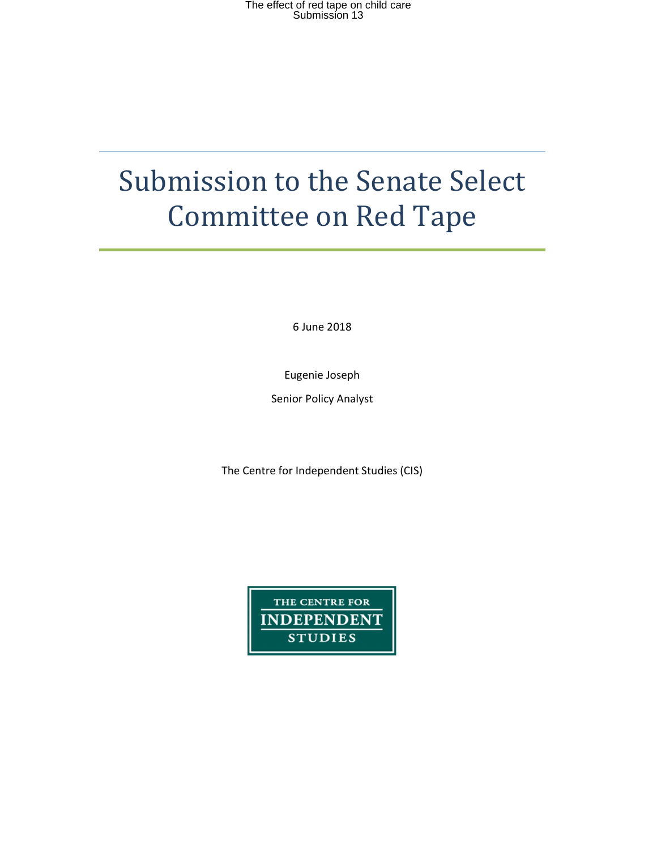# Submission to the Senate Select Committee on Red Tape

6 June 2018

Eugenie Joseph

Senior Policy Analyst

The Centre for Independent Studies (CIS)

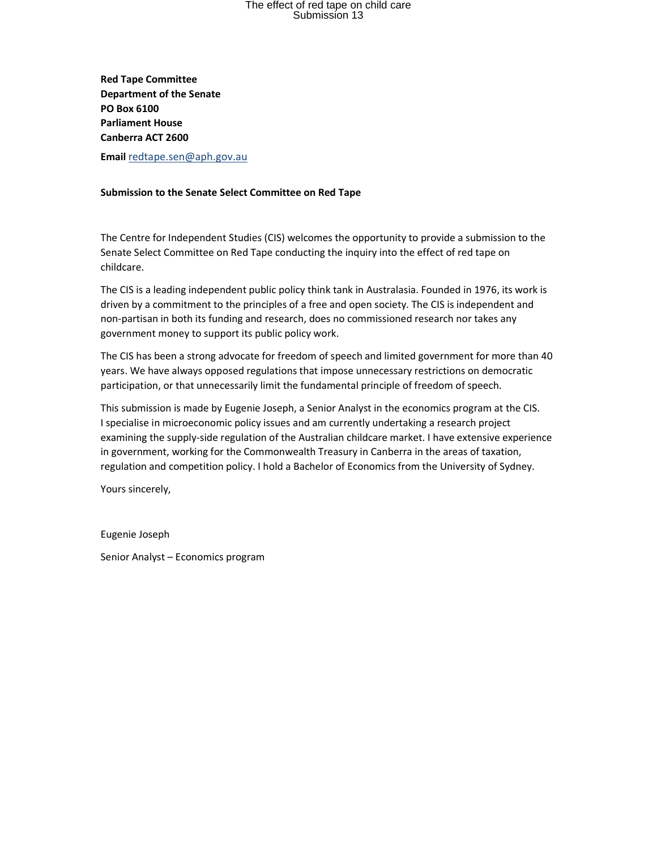Red Tape Committee Department of the Senate PO Box 6100 Parliament House Canberra ACT 2600

Email redtape.sen@aph.gov.au

### Submission to the Senate Select Committee on Red Tape

The Centre for Independent Studies (CIS) welcomes the opportunity to provide a submission to the Senate Select Committee on Red Tape conducting the inquiry into the effect of red tape on childcare.

The CIS is a leading independent public policy think tank in Australasia. Founded in 1976, its work is driven by a commitment to the principles of a free and open society. The CIS is independent and non-partisan in both its funding and research, does no commissioned research nor takes any government money to support its public policy work.

The CIS has been a strong advocate for freedom of speech and limited government for more than 40 years. We have always opposed regulations that impose unnecessary restrictions on democratic participation, or that unnecessarily limit the fundamental principle of freedom of speech.

This submission is made by Eugenie Joseph, a Senior Analyst in the economics program at the CIS. I specialise in microeconomic policy issues and am currently undertaking a research project examining the supply-side regulation of the Australian childcare market. I have extensive experience in government, working for the Commonwealth Treasury in Canberra in the areas of taxation, regulation and competition policy. I hold a Bachelor of Economics from the University of Sydney.

Yours sincerely,

Eugenie Joseph

Senior Analyst – Economics program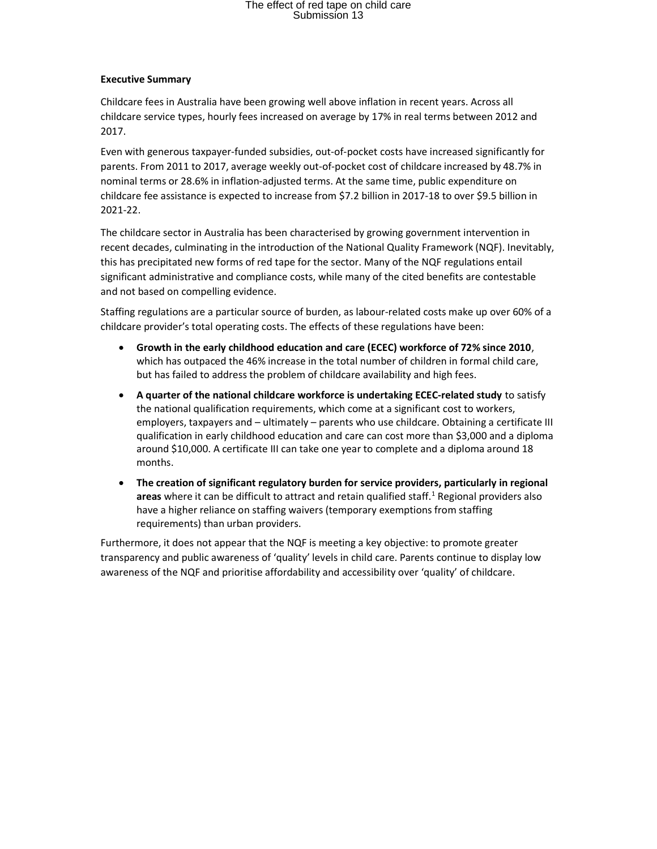### Executive Summary

Childcare fees in Australia have been growing well above inflation in recent years. Across all childcare service types, hourly fees increased on average by 17% in real terms between 2012 and 2017.

Even with generous taxpayer-funded subsidies, out-of-pocket costs have increased significantly for parents. From 2011 to 2017, average weekly out-of-pocket cost of childcare increased by 48.7% in nominal terms or 28.6% in inflation-adjusted terms. At the same time, public expenditure on childcare fee assistance is expected to increase from \$7.2 billion in 2017-18 to over \$9.5 billion in 2021-22.

The childcare sector in Australia has been characterised by growing government intervention in recent decades, culminating in the introduction of the National Quality Framework (NQF). Inevitably, this has precipitated new forms of red tape for the sector. Many of the NQF regulations entail significant administrative and compliance costs, while many of the cited benefits are contestable and not based on compelling evidence.

Staffing regulations are a particular source of burden, as labour-related costs make up over 60% of a childcare provider's total operating costs. The effects of these regulations have been:

- Growth in the early childhood education and care (ECEC) workforce of 72% since 2010, which has outpaced the 46% increase in the total number of children in formal child care, but has failed to address the problem of childcare availability and high fees.
- A quarter of the national childcare workforce is undertaking ECEC-related study to satisfy the national qualification requirements, which come at a significant cost to workers, employers, taxpayers and – ultimately – parents who use childcare. Obtaining a certificate III qualification in early childhood education and care can cost more than \$3,000 and a diploma around \$10,000. A certificate III can take one year to complete and a diploma around 18 months.
- The creation of significant regulatory burden for service providers, particularly in regional areas where it can be difficult to attract and retain qualified staff.<sup>1</sup> Regional providers also have a higher reliance on staffing waivers (temporary exemptions from staffing requirements) than urban providers.

Furthermore, it does not appear that the NQF is meeting a key objective: to promote greater transparency and public awareness of 'quality' levels in child care. Parents continue to display low awareness of the NQF and prioritise affordability and accessibility over 'quality' of childcare.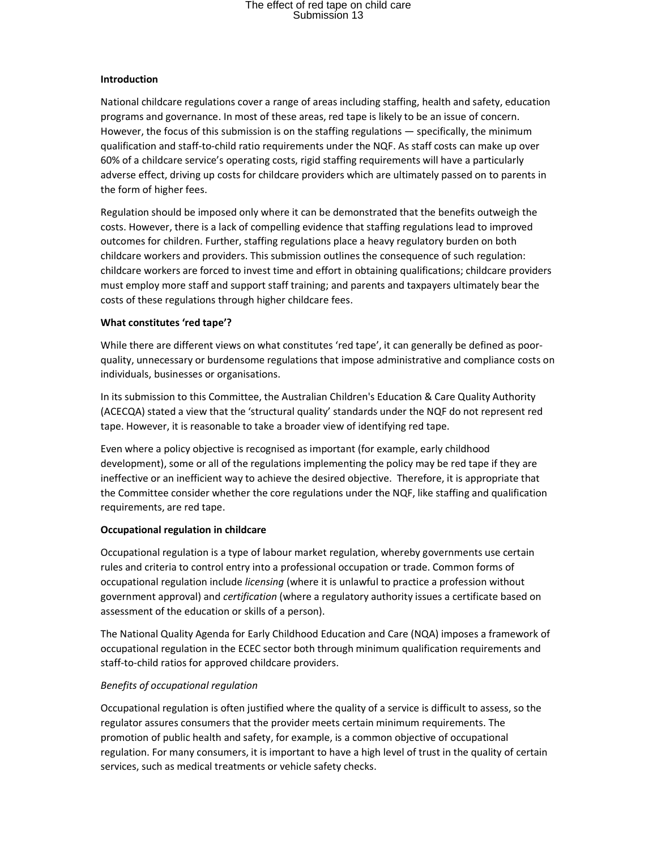#### Introduction

National childcare regulations cover a range of areas including staffing, health and safety, education programs and governance. In most of these areas, red tape is likely to be an issue of concern. However, the focus of this submission is on the staffing regulations — specifically, the minimum qualification and staff-to-child ratio requirements under the NQF. As staff costs can make up over 60% of a childcare service's operating costs, rigid staffing requirements will have a particularly adverse effect, driving up costs for childcare providers which are ultimately passed on to parents in the form of higher fees.

Regulation should be imposed only where it can be demonstrated that the benefits outweigh the costs. However, there is a lack of compelling evidence that staffing regulations lead to improved outcomes for children. Further, staffing regulations place a heavy regulatory burden on both childcare workers and providers. This submission outlines the consequence of such regulation: childcare workers are forced to invest time and effort in obtaining qualifications; childcare providers must employ more staff and support staff training; and parents and taxpayers ultimately bear the costs of these regulations through higher childcare fees.

#### What constitutes 'red tape'?

While there are different views on what constitutes 'red tape', it can generally be defined as poorquality, unnecessary or burdensome regulations that impose administrative and compliance costs on individuals, businesses or organisations.

In its submission to this Committee, the Australian Children's Education & Care Quality Authority (ACECQA) stated a view that the 'structural quality' standards under the NQF do not represent red tape. However, it is reasonable to take a broader view of identifying red tape.

Even where a policy objective is recognised as important (for example, early childhood development), some or all of the regulations implementing the policy may be red tape if they are ineffective or an inefficient way to achieve the desired objective. Therefore, it is appropriate that the Committee consider whether the core regulations under the NQF, like staffing and qualification requirements, are red tape.

#### Occupational regulation in childcare

Occupational regulation is a type of labour market regulation, whereby governments use certain rules and criteria to control entry into a professional occupation or trade. Common forms of occupational regulation include licensing (where it is unlawful to practice a profession without government approval) and *certification* (where a regulatory authority issues a certificate based on assessment of the education or skills of a person).

The National Quality Agenda for Early Childhood Education and Care (NQA) imposes a framework of occupational regulation in the ECEC sector both through minimum qualification requirements and staff-to-child ratios for approved childcare providers.

## Benefits of occupational regulation

Occupational regulation is often justified where the quality of a service is difficult to assess, so the regulator assures consumers that the provider meets certain minimum requirements. The promotion of public health and safety, for example, is a common objective of occupational regulation. For many consumers, it is important to have a high level of trust in the quality of certain services, such as medical treatments or vehicle safety checks.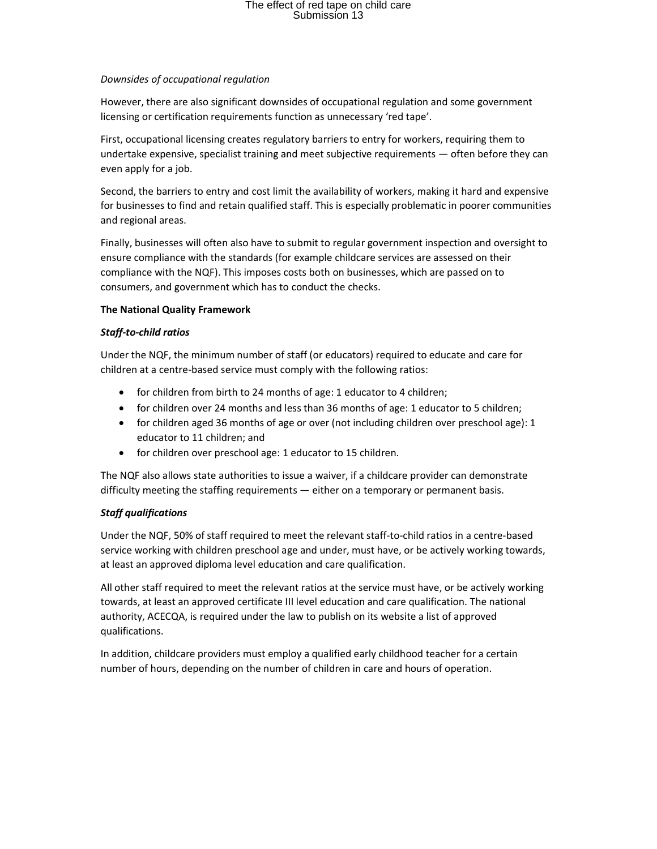### Downsides of occupational regulation

However, there are also significant downsides of occupational regulation and some government licensing or certification requirements function as unnecessary 'red tape'.

First, occupational licensing creates regulatory barriers to entry for workers, requiring them to undertake expensive, specialist training and meet subjective requirements — often before they can even apply for a job.

Second, the barriers to entry and cost limit the availability of workers, making it hard and expensive for businesses to find and retain qualified staff. This is especially problematic in poorer communities and regional areas.

Finally, businesses will often also have to submit to regular government inspection and oversight to ensure compliance with the standards (for example childcare services are assessed on their compliance with the NQF). This imposes costs both on businesses, which are passed on to consumers, and government which has to conduct the checks.

### The National Quality Framework

### Staff-to-child ratios

Under the NQF, the minimum number of staff (or educators) required to educate and care for children at a centre-based service must comply with the following ratios:

- for children from birth to 24 months of age: 1 educator to 4 children;
- for children over 24 months and less than 36 months of age: 1 educator to 5 children;
- for children aged 36 months of age or over (not including children over preschool age): 1 educator to 11 children; and
- for children over preschool age: 1 educator to 15 children.

The NQF also allows state authorities to issue a waiver, if a childcare provider can demonstrate difficulty meeting the staffing requirements — either on a temporary or permanent basis.

## Staff qualifications

Under the NQF, 50% of staff required to meet the relevant staff-to-child ratios in a centre-based service working with children preschool age and under, must have, or be actively working towards, at least an approved diploma level education and care qualification.

All other staff required to meet the relevant ratios at the service must have, or be actively working towards, at least an approved certificate III level education and care qualification. The national authority, ACECQA, is required under the law to publish on its website a list of approved qualifications.

In addition, childcare providers must employ a qualified early childhood teacher for a certain number of hours, depending on the number of children in care and hours of operation.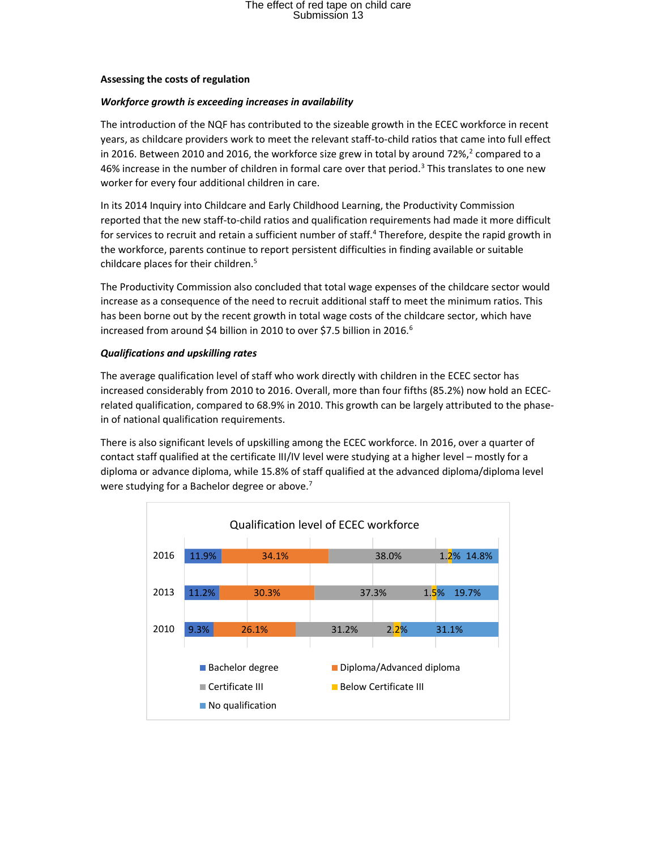#### Assessing the costs of regulation

#### Workforce growth is exceeding increases in availability

The introduction of the NQF has contributed to the sizeable growth in the ECEC workforce in recent years, as childcare providers work to meet the relevant staff-to-child ratios that came into full effect in 2016. Between 2010 and 2016, the workforce size grew in total by around 72%,<sup>2</sup> compared to a 46% increase in the number of children in formal care over that period.<sup>3</sup> This translates to one new worker for every four additional children in care.

In its 2014 Inquiry into Childcare and Early Childhood Learning, the Productivity Commission reported that the new staff-to-child ratios and qualification requirements had made it more difficult for services to recruit and retain a sufficient number of staff.<sup>4</sup> Therefore, despite the rapid growth in the workforce, parents continue to report persistent difficulties in finding available or suitable childcare places for their children.<sup>5</sup>

The Productivity Commission also concluded that total wage expenses of the childcare sector would increase as a consequence of the need to recruit additional staff to meet the minimum ratios. This has been borne out by the recent growth in total wage costs of the childcare sector, which have increased from around \$4 billion in 2010 to over \$7.5 billion in 2016.<sup>6</sup>

#### Qualifications and upskilling rates

The average qualification level of staff who work directly with children in the ECEC sector has increased considerably from 2010 to 2016. Overall, more than four fifths (85.2%) now hold an ECECrelated qualification, compared to 68.9% in 2010. This growth can be largely attributed to the phasein of national qualification requirements.

There is also significant levels of upskilling among the ECEC workforce. In 2016, over a quarter of contact staff qualified at the certificate III/IV level were studying at a higher level – mostly for a diploma or advance diploma, while 15.8% of staff qualified at the advanced diploma/diploma level were studying for a Bachelor degree or above.<sup>7</sup>

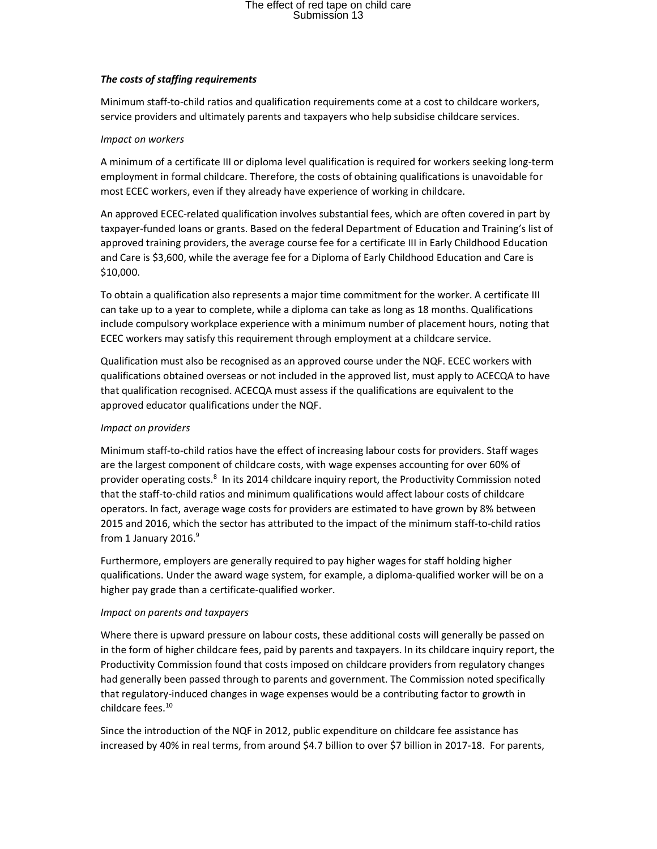### The costs of staffing requirements

Minimum staff-to-child ratios and qualification requirements come at a cost to childcare workers, service providers and ultimately parents and taxpayers who help subsidise childcare services.

#### Impact on workers

A minimum of a certificate III or diploma level qualification is required for workers seeking long-term employment in formal childcare. Therefore, the costs of obtaining qualifications is unavoidable for most ECEC workers, even if they already have experience of working in childcare.

An approved ECEC-related qualification involves substantial fees, which are often covered in part by taxpayer-funded loans or grants. Based on the federal Department of Education and Training's list of approved training providers, the average course fee for a certificate III in Early Childhood Education and Care is \$3,600, while the average fee for a Diploma of Early Childhood Education and Care is \$10,000.

To obtain a qualification also represents a major time commitment for the worker. A certificate III can take up to a year to complete, while a diploma can take as long as 18 months. Qualifications include compulsory workplace experience with a minimum number of placement hours, noting that ECEC workers may satisfy this requirement through employment at a childcare service.

Qualification must also be recognised as an approved course under the NQF. ECEC workers with qualifications obtained overseas or not included in the approved list, must apply to ACECQA to have that qualification recognised. ACECQA must assess if the qualifications are equivalent to the approved educator qualifications under the NQF.

#### Impact on providers

Minimum staff-to-child ratios have the effect of increasing labour costs for providers. Staff wages are the largest component of childcare costs, with wage expenses accounting for over 60% of provider operating costs.<sup>8</sup> In its 2014 childcare inquiry report, the Productivity Commission noted that the staff-to-child ratios and minimum qualifications would affect labour costs of childcare operators. In fact, average wage costs for providers are estimated to have grown by 8% between 2015 and 2016, which the sector has attributed to the impact of the minimum staff-to-child ratios from 1 January 2016.<sup>9</sup>

Furthermore, employers are generally required to pay higher wages for staff holding higher qualifications. Under the award wage system, for example, a diploma-qualified worker will be on a higher pay grade than a certificate-qualified worker.

#### Impact on parents and taxpayers

Where there is upward pressure on labour costs, these additional costs will generally be passed on in the form of higher childcare fees, paid by parents and taxpayers. In its childcare inquiry report, the Productivity Commission found that costs imposed on childcare providers from regulatory changes had generally been passed through to parents and government. The Commission noted specifically that regulatory-induced changes in wage expenses would be a contributing factor to growth in childcare fees.<sup>10</sup>

Since the introduction of the NQF in 2012, public expenditure on childcare fee assistance has increased by 40% in real terms, from around \$4.7 billion to over \$7 billion in 2017-18. For parents,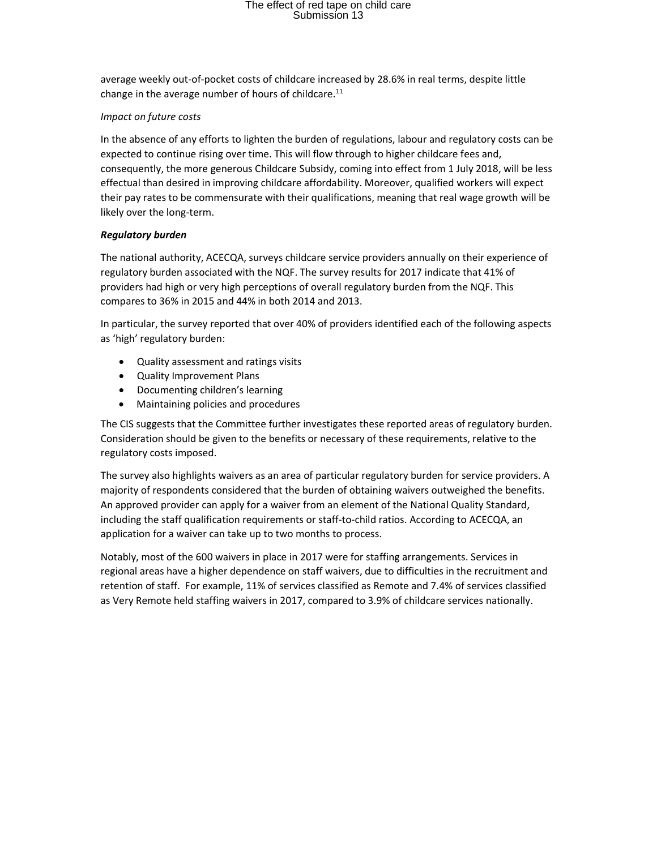average weekly out-of-pocket costs of childcare increased by 28.6% in real terms, despite little change in the average number of hours of childcare.<sup>11</sup>

### Impact on future costs

In the absence of any efforts to lighten the burden of regulations, labour and regulatory costs can be expected to continue rising over time. This will flow through to higher childcare fees and, consequently, the more generous Childcare Subsidy, coming into effect from 1 July 2018, will be less effectual than desired in improving childcare affordability. Moreover, qualified workers will expect their pay rates to be commensurate with their qualifications, meaning that real wage growth will be likely over the long-term.

### Regulatory burden

The national authority, ACECQA, surveys childcare service providers annually on their experience of regulatory burden associated with the NQF. The survey results for 2017 indicate that 41% of providers had high or very high perceptions of overall regulatory burden from the NQF. This compares to 36% in 2015 and 44% in both 2014 and 2013.

In particular, the survey reported that over 40% of providers identified each of the following aspects as 'high' regulatory burden:

- Quality assessment and ratings visits
- Quality Improvement Plans
- Documenting children's learning
- Maintaining policies and procedures

The CIS suggests that the Committee further investigates these reported areas of regulatory burden. Consideration should be given to the benefits or necessary of these requirements, relative to the regulatory costs imposed.

The survey also highlights waivers as an area of particular regulatory burden for service providers. A majority of respondents considered that the burden of obtaining waivers outweighed the benefits. An approved provider can apply for a waiver from an element of the National Quality Standard, including the staff qualification requirements or staff-to-child ratios. According to ACECQA, an application for a waiver can take up to two months to process.

Notably, most of the 600 waivers in place in 2017 were for staffing arrangements. Services in regional areas have a higher dependence on staff waivers, due to difficulties in the recruitment and retention of staff. For example, 11% of services classified as Remote and 7.4% of services classified as Very Remote held staffing waivers in 2017, compared to 3.9% of childcare services nationally.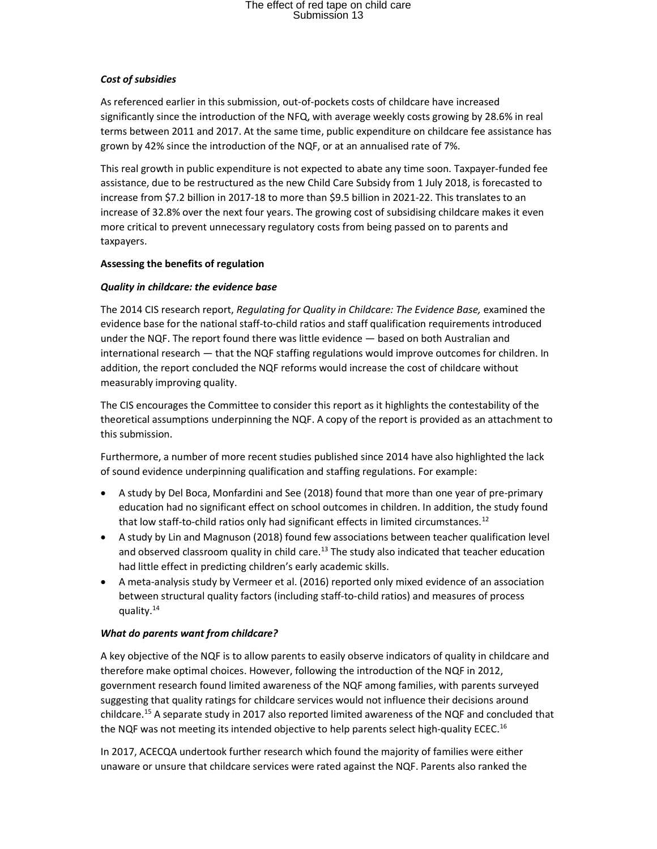## Cost of subsidies

As referenced earlier in this submission, out-of-pockets costs of childcare have increased significantly since the introduction of the NFQ, with average weekly costs growing by 28.6% in real terms between 2011 and 2017. At the same time, public expenditure on childcare fee assistance has grown by 42% since the introduction of the NQF, or at an annualised rate of 7%.

This real growth in public expenditure is not expected to abate any time soon. Taxpayer-funded fee assistance, due to be restructured as the new Child Care Subsidy from 1 July 2018, is forecasted to increase from \$7.2 billion in 2017-18 to more than \$9.5 billion in 2021-22. This translates to an increase of 32.8% over the next four years. The growing cost of subsidising childcare makes it even more critical to prevent unnecessary regulatory costs from being passed on to parents and taxpayers.

#### Assessing the benefits of regulation

### Quality in childcare: the evidence base

The 2014 CIS research report, Regulating for Quality in Childcare: The Evidence Base, examined the evidence base for the national staff-to-child ratios and staff qualification requirements introduced under the NQF. The report found there was little evidence — based on both Australian and international research — that the NQF staffing regulations would improve outcomes for children. In addition, the report concluded the NQF reforms would increase the cost of childcare without measurably improving quality.

The CIS encourages the Committee to consider this report as it highlights the contestability of the theoretical assumptions underpinning the NQF. A copy of the report is provided as an attachment to this submission.

Furthermore, a number of more recent studies published since 2014 have also highlighted the lack of sound evidence underpinning qualification and staffing regulations. For example:

- A study by Del Boca, Monfardini and See (2018) found that more than one year of pre-primary education had no significant effect on school outcomes in children. In addition, the study found that low staff-to-child ratios only had significant effects in limited circumstances.<sup>12</sup>
- A study by Lin and Magnuson (2018) found few associations between teacher qualification level and observed classroom quality in child care. $^{13}$  The study also indicated that teacher education had little effect in predicting children's early academic skills.
- A meta-analysis study by Vermeer et al. (2016) reported only mixed evidence of an association between structural quality factors (including staff-to-child ratios) and measures of process quality.<sup>14</sup>

#### What do parents want from childcare?

A key objective of the NQF is to allow parents to easily observe indicators of quality in childcare and therefore make optimal choices. However, following the introduction of the NQF in 2012, government research found limited awareness of the NQF among families, with parents surveyed suggesting that quality ratings for childcare services would not influence their decisions around childcare.<sup>15</sup> A separate study in 2017 also reported limited awareness of the NQF and concluded that the NQF was not meeting its intended objective to help parents select high-quality ECEC.<sup>16</sup>

In 2017, ACECQA undertook further research which found the majority of families were either unaware or unsure that childcare services were rated against the NQF. Parents also ranked the